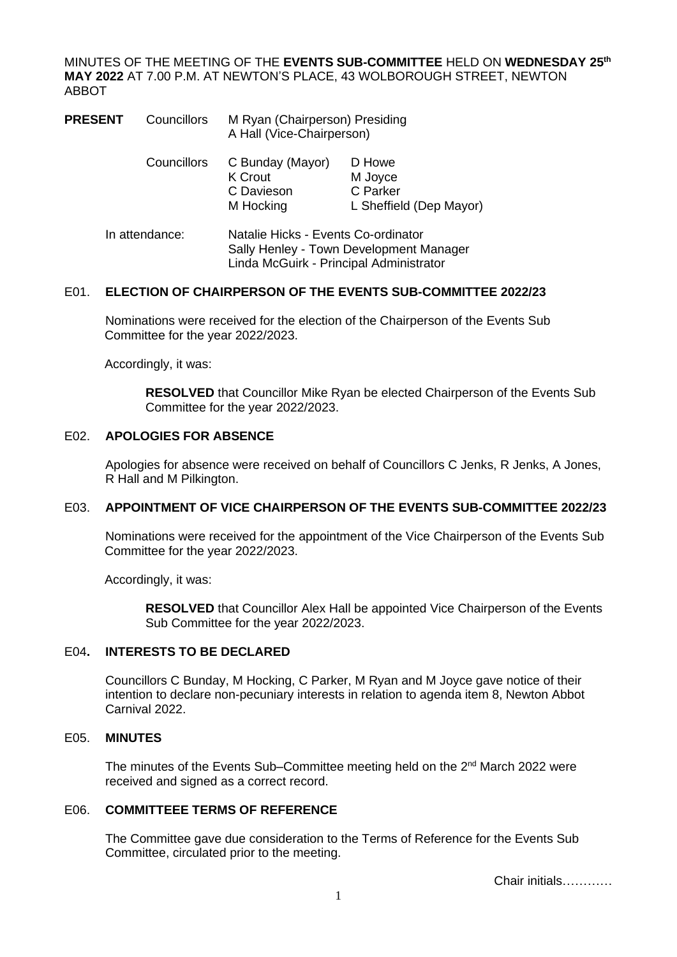MINUTES OF THE MEETING OF THE **EVENTS SUB-COMMITTEE** HELD ON **WEDNESDAY 25th MAY 2022** AT 7.00 P.M. AT NEWTON'S PLACE, 43 WOLBOROUGH STREET, NEWTON ABBOT

| <b>PRESENT</b> | Councillors | M Ryan (Chairperson) Presiding<br>A Hall (Vice-Chairperson)                                                               |                                                          |
|----------------|-------------|---------------------------------------------------------------------------------------------------------------------------|----------------------------------------------------------|
|                | Councillors | C Bunday (Mayor)<br>K Crout<br>C Davieson<br>M Hocking                                                                    | D Howe<br>M Joyce<br>C Parker<br>L Sheffield (Dep Mayor) |
| In attendance: |             | Natalie Hicks - Events Co-ordinator<br>Sally Henley - Town Development Manager<br>Linda McGuirk - Principal Administrator |                                                          |

## E01. **ELECTION OF CHAIRPERSON OF THE EVENTS SUB-COMMITTEE 2022/23**

Nominations were received for the election of the Chairperson of the Events Sub Committee for the year 2022/2023.

Accordingly, it was:

**RESOLVED** that Councillor Mike Ryan be elected Chairperson of the Events Sub Committee for the year 2022/2023.

### E02. **APOLOGIES FOR ABSENCE**

Apologies for absence were received on behalf of Councillors C Jenks, R Jenks, A Jones, R Hall and M Pilkington.

#### E03. **APPOINTMENT OF VICE CHAIRPERSON OF THE EVENTS SUB-COMMITTEE 2022/23**

Nominations were received for the appointment of the Vice Chairperson of the Events Sub Committee for the year 2022/2023.

Accordingly, it was:

**RESOLVED** that Councillor Alex Hall be appointed Vice Chairperson of the Events Sub Committee for the year 2022/2023.

#### E04**. INTERESTS TO BE DECLARED**

Councillors C Bunday, M Hocking, C Parker, M Ryan and M Joyce gave notice of their intention to declare non-pecuniary interests in relation to agenda item 8, Newton Abbot Carnival 2022.

#### E05. **MINUTES**

The minutes of the Events Sub–Committee meeting held on the 2<sup>nd</sup> March 2022 were received and signed as a correct record.

### E06. **COMMITTEEE TERMS OF REFERENCE**

The Committee gave due consideration to the Terms of Reference for the Events Sub Committee, circulated prior to the meeting.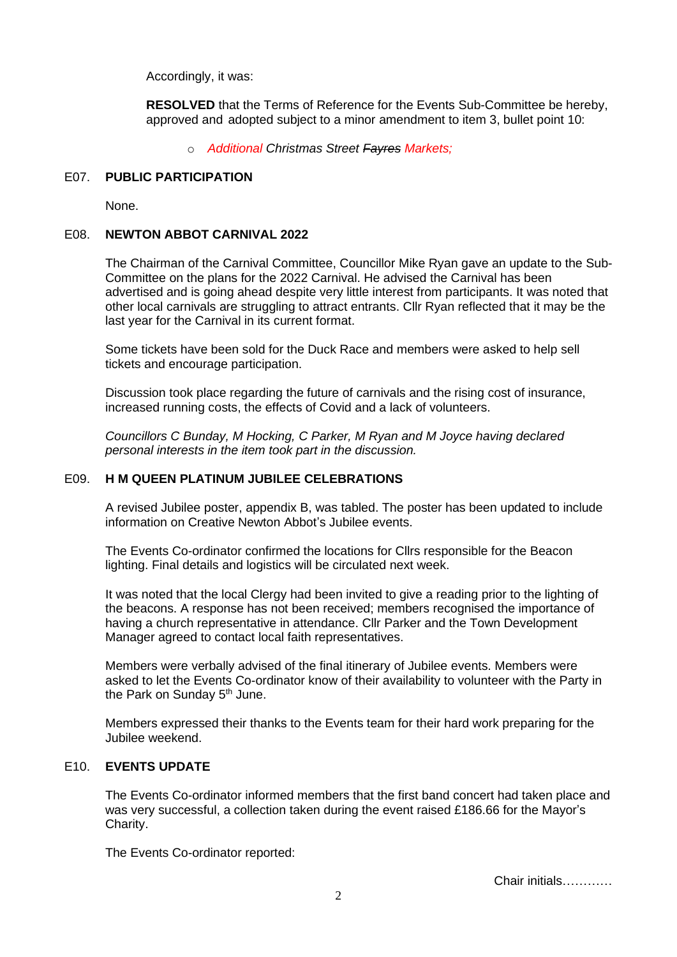Accordingly, it was:

**RESOLVED** that the Terms of Reference for the Events Sub-Committee be hereby, approved and adopted subject to a minor amendment to item 3, bullet point 10:

o *Additional Christmas Street Fayres Markets;*

## E07. **PUBLIC PARTICIPATION**

None.

### E08. **NEWTON ABBOT CARNIVAL 2022**

The Chairman of the Carnival Committee, Councillor Mike Ryan gave an update to the Sub-Committee on the plans for the 2022 Carnival. He advised the Carnival has been advertised and is going ahead despite very little interest from participants. It was noted that other local carnivals are struggling to attract entrants. Cllr Ryan reflected that it may be the last year for the Carnival in its current format.

Some tickets have been sold for the Duck Race and members were asked to help sell tickets and encourage participation.

Discussion took place regarding the future of carnivals and the rising cost of insurance, increased running costs, the effects of Covid and a lack of volunteers.

*Councillors C Bunday, M Hocking, C Parker, M Ryan and M Joyce having declared personal interests in the item took part in the discussion.*

# E09. **H M QUEEN PLATINUM JUBILEE CELEBRATIONS**

A revised Jubilee poster, appendix B, was tabled. The poster has been updated to include information on Creative Newton Abbot's Jubilee events.

The Events Co-ordinator confirmed the locations for Cllrs responsible for the Beacon lighting. Final details and logistics will be circulated next week.

It was noted that the local Clergy had been invited to give a reading prior to the lighting of the beacons. A response has not been received; members recognised the importance of having a church representative in attendance. Cllr Parker and the Town Development Manager agreed to contact local faith representatives.

Members were verbally advised of the final itinerary of Jubilee events. Members were asked to let the Events Co-ordinator know of their availability to volunteer with the Party in the Park on Sunday 5<sup>th</sup> June.

Members expressed their thanks to the Events team for their hard work preparing for the Jubilee weekend.

### E10. **EVENTS UPDATE**

The Events Co-ordinator informed members that the first band concert had taken place and was very successful, a collection taken during the event raised £186.66 for the Mayor's Charity.

The Events Co-ordinator reported: